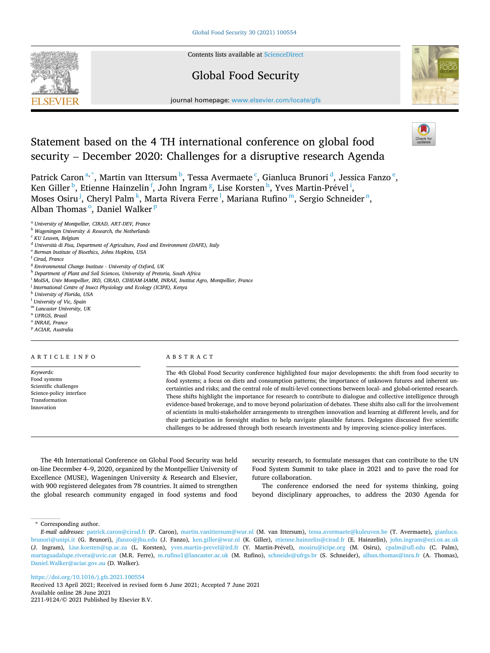

Contents lists available at [ScienceDirect](www.sciencedirect.com/science/journal/22119124)

## Global Food Security



journal homepage: [www.elsevier.com/locate/gfs](https://www.elsevier.com/locate/gfs)

# Statement based on the 4 TH international conference on global food security – December 2020: Challenges for a disruptive research Agenda

Patrick Caron<sup>a,\*</sup>, Martin van Ittersum <sup>b</sup>, Tessa Avermaete <sup>c</sup>, Gianluca Brunori <sup>d</sup>, Jessica Fanzo <sup>e</sup>, Ken Giller <sup>b</sup>, Etienne Hainzelin <sup>f</sup>, John Ingram <sup>g</sup>, Lise Korsten <sup>h</sup>, Yves Martin-Prével <sup>i</sup>, Moses Osiru<sup>j</sup>, Cheryl Palm<sup>k</sup>, Marta Rivera Ferre<sup>l</sup>, Mariana Rufino™, Sergio Schneider™, Alban Thomas<sup>o</sup>, Daniel Walker<sup>p</sup>

<sup>a</sup> *University of Montpellier, CIRAD, ART-DEV, France* 

- <sup>b</sup> *Wageningen University & Research, the Netherlands*
- <sup>c</sup> *KU Leuven, Belgium*

<sup>e</sup> *Berman Institute of Bioethics, Johns Hopkins, USA* 

- <sup>h</sup> *Department of Plant and Soil Sciences, University of Pretoria, South Africa*
- <sup>i</sup> *MoISA, Univ Montpellier, IRD, CIRAD, CIHEAM-IAMM, INRAE, Institut Agro, Montpellier, France*
- <sup>j</sup> *International Centre of Insect Physiology and Ecology (ICIPE), Kenya*
- <sup>k</sup> *University of Florida, USA*
- <sup>l</sup> *University of Vic, Spain*
- <sup>m</sup> *Lancaster University, UK*
- <sup>n</sup> *UFRGS, Brazil*
- <sup>o</sup> *INRAE, France*
- <sup>p</sup> *ACIAR, Australia*

#### ARTICLE INFO

*Keywords:*  Food systems Scientific challenges Science-policy interface **Transformation** Innovation

### ABSTRACT

The 4th Global Food Security conference highlighted four major developments: the shift from food security to food systems; a focus on diets and consumption patterns; the importance of unknown futures and inherent uncertainties and risks; and the central role of multi-level connections between local- and global-oriented research. These shifts highlight the importance for research to contribute to dialogue and collective intelligence through evidence-based brokerage, and to move beyond polarization of debates. These shifts also call for the involvement of scientists in multi-stakeholder arrangements to strengthen innovation and learning at different levels, and for their participation in foresight studies to help navigate plausible futures. Delegates discussed five scientific challenges to be addressed through both research investments and by improving science-policy interfaces.

The 4th International Conference on Global Food Security was held on-line December 4–9, 2020, organized by the Montpellier University of Excellence (MUSE), Wageningen University & Research and Elsevier, with 900 registered delegates from 78 countries. It aimed to strengthen the global research community engaged in food systems and food

security research, to formulate messages that can contribute to the UN Food System Summit to take place in 2021 and to pave the road for future collaboration.

The conference endorsed the need for systems thinking, going beyond disciplinary approaches, to address the 2030 Agenda for

\* Corresponding author.

<https://doi.org/10.1016/j.gfs.2021.100554>

Available online 28 June 2021 2211-9124/© 2021 Published by Elsevier B.V. Received 13 April 2021; Received in revised form 6 June 2021; Accepted 7 June 2021

<sup>d</sup> *Universita*̀ *di Pisa, Department of Agriculture, Food and Environment (DAFE), Italy* 

<sup>f</sup> *Cirad, France* 

<sup>g</sup> *Environmental Change Institute - University of Oxford, UK* 

*E-mail addresses:* [patrick.caron@cirad.fr](mailto:patrick.caron@cirad.fr) (P. Caron), [martin.vanittersum@wur.nl](mailto:martin.vanittersum@wur.nl) (M. van Ittersum), [tessa.avermaete@kuleuven.be](mailto:tessa.avermaete@kuleuven.be) (T. Avermaete), [gianluca.](mailto:gianluca.brunori@unipi.it)  [brunori@unipi.it](mailto:gianluca.brunori@unipi.it) (G. Brunori), [jfanzo@jhu.edu](mailto:jfanzo@jhu.edu) (J. Fanzo), [ken.giller@wur.nl](mailto:ken.giller@wur.nl) (K. Giller), [etienne.hainzelin@cirad.fr](mailto:etienne.hainzelin@cirad.fr) (E. Hainzelin), [john.ingram@eci.ox.ac.uk](mailto:john.ingram@eci.ox.ac.uk)  (J. Ingram), [Lise.korsten@up.ac.za](mailto:Lise.korsten@up.ac.za) (L. Korsten), [yves.martin-prevel@ird.fr](mailto:yves.martin-prevel@ird.fr) (Y. Martin-Prével), [mosiru@icipe.org](mailto:mosiru@icipe.org) (M. Osiru), [cpalm@ufl.edu](mailto:cpalm@ufl.edu) (C. Palm), [martaguadalupe.rivera@uvic.cat](mailto:martaguadalupe.rivera@uvic.cat) (M.R. Ferre), [m.rufino1@lancaster.ac.uk](mailto:m.rufino1@lancaster.ac.uk) (M. Rufino), [schneide@ufrgs.br](mailto:schneide@ufrgs.br) (S. Schneider), [alban.thomas@inra.fr](mailto:alban.thomas@inra.fr) (A. Thomas), [Daniel.Walker@aciar.gov.au](mailto:Daniel.Walker@aciar.gov.au) (D. Walker).